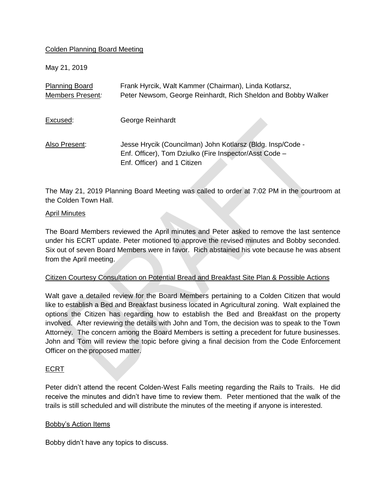## Colden Planning Board Meeting

May 21, 2019

| <b>Planning Board</b> | Frank Hyrcik, Walt Kammer (Chairman), Linda Kotlarsz,         |
|-----------------------|---------------------------------------------------------------|
| Members Present:      | Peter Newsom, George Reinhardt, Rich Sheldon and Bobby Walker |
|                       |                                                               |
| Excused:              | George Reinhardt                                              |
|                       |                                                               |
| Also Present:         | Jesse Hrycik (Councilman) John Kotlarsz (Bldg. Insp/Code -    |
|                       | Enf. Officer), Tom Dziulko (Fire Inspector/Asst Code -        |
|                       | Enf. Officer) and 1 Citizen                                   |
|                       |                                                               |

The May 21, 2019 Planning Board Meeting was called to order at 7:02 PM in the courtroom at the Colden Town Hall.

#### April Minutes

The Board Members reviewed the April minutes and Peter asked to remove the last sentence under his ECRT update. Peter motioned to approve the revised minutes and Bobby seconded. Six out of seven Board Members were in favor. Rich abstained his vote because he was absent from the April meeting.

## Citizen Courtesy Consultation on Potential Bread and Breakfast Site Plan & Possible Actions

Walt gave a detailed review for the Board Members pertaining to a Colden Citizen that would like to establish a Bed and Breakfast business located in Agricultural zoning. Walt explained the options the Citizen has regarding how to establish the Bed and Breakfast on the property involved. After reviewing the details with John and Tom, the decision was to speak to the Town Attorney. The concern among the Board Members is setting a precedent for future businesses. John and Tom will review the topic before giving a final decision from the Code Enforcement Officer on the proposed matter.

## ECRT

Peter didn't attend the recent Colden-West Falls meeting regarding the Rails to Trails. He did receive the minutes and didn't have time to review them. Peter mentioned that the walk of the trails is still scheduled and will distribute the minutes of the meeting if anyone is interested.

## Bobby's Action Items

Bobby didn't have any topics to discuss.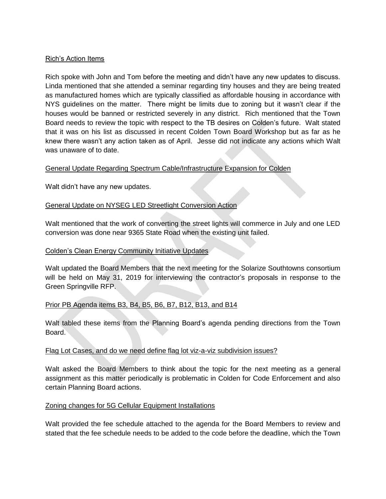## Rich's Action Items

Rich spoke with John and Tom before the meeting and didn't have any new updates to discuss. Linda mentioned that she attended a seminar regarding tiny houses and they are being treated as manufactured homes which are typically classified as affordable housing in accordance with NYS guidelines on the matter. There might be limits due to zoning but it wasn't clear if the houses would be banned or restricted severely in any district. Rich mentioned that the Town Board needs to review the topic with respect to the TB desires on Colden's future. Walt stated that it was on his list as discussed in recent Colden Town Board Workshop but as far as he knew there wasn't any action taken as of April. Jesse did not indicate any actions which Walt was unaware of to date.

## General Update Regarding Spectrum Cable/Infrastructure Expansion for Colden

Walt didn't have any new updates.

# General Update on NYSEG LED Streetlight Conversion Action

Walt mentioned that the work of converting the street lights will commerce in July and one LED conversion was done near 9365 State Road when the existing unit failed.

## Colden's Clean Energy Community Initiative Updates

Walt updated the Board Members that the next meeting for the Solarize Southtowns consortium will be held on May 31, 2019 for interviewing the contractor's proposals in response to the Green Springville RFP.

## Prior PB Agenda items B3, B4, B5, B6, B7, B12, B13, and B14

Walt tabled these items from the Planning Board's agenda pending directions from the Town Board.

## Flag Lot Cases, and do we need define flag lot viz-a-viz subdivision issues?

Walt asked the Board Members to think about the topic for the next meeting as a general assignment as this matter periodically is problematic in Colden for Code Enforcement and also certain Planning Board actions.

## Zoning changes for 5G Cellular Equipment Installations

Walt provided the fee schedule attached to the agenda for the Board Members to review and stated that the fee schedule needs to be added to the code before the deadline, which the Town